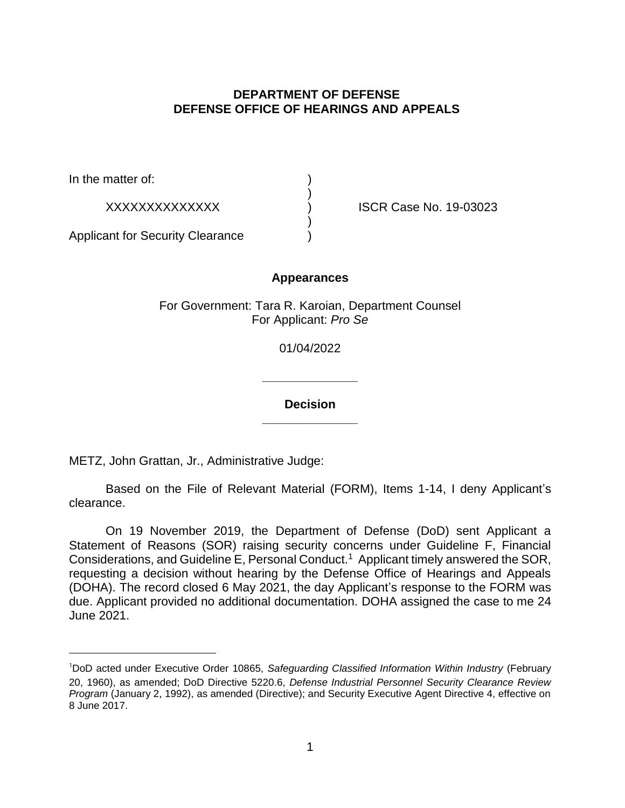# **DEPARTMENT OF DEFENSE DEFENSE OFFICE OF HEARINGS AND APPEALS**

In the matter of:

XXXXXXXXXXXXXX ) ISCR Case No. 19-03023

Applicant for Security Clearance )

## **Appearances**

)

)

For Government: Tara R. Karoian, Department Counsel For Applicant: *Pro Se* 

01/04/2022

**\_\_\_\_\_\_\_\_\_\_\_\_\_\_ Decision** 

**\_\_\_\_\_\_\_\_\_\_\_\_\_\_** 

METZ, John Grattan, Jr., Administrative Judge:

Based on the File of Relevant Material (FORM), Items 1-14, I deny Applicant's clearance.

On 19 November 2019, the Department of Defense (DoD) sent Applicant a Statement of Reasons (SOR) raising security concerns under Guideline F, Financial Considerations, and Guideline E, Personal Conduct.1 Applicant timely answered the SOR, requesting a decision without hearing by the Defense Office of Hearings and Appeals (DOHA). The record closed 6 May 2021, the day Applicant's response to the FORM was due. Applicant provided no additional documentation. DOHA assigned the case to me 24 June 2021.

<sup>&</sup>lt;sup>1</sup>DoD acted under Executive Order 10865, Safeguarding Classified Information Within Industry (February 20, 1960), as amended; DoD Directive 5220.6, *Defense Industrial Personnel Security Clearance Review Program* (January 2, 1992), as amended (Directive); and Security Executive Agent Directive 4, effective on 8 June 2017.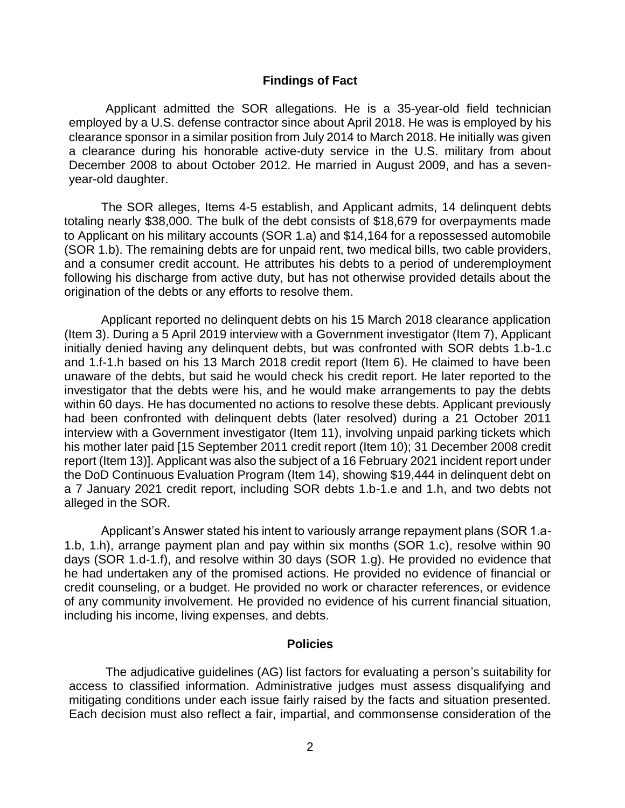#### **Findings of Fact**

Applicant admitted the SOR allegations. He is a 35-year-old field technician employed by a U.S. defense contractor since about April 2018. He was is employed by his clearance sponsor in a similar position from July 2014 to March 2018. He initially was given a clearance during his honorable active-duty service in the U.S. military from about December 2008 to about October 2012. He married in August 2009, and has a sevenyear-old daughter.

The SOR alleges, Items 4-5 establish, and Applicant admits, 14 delinquent debts totaling nearly \$38,000. The bulk of the debt consists of \$18,679 for overpayments made to Applicant on his military accounts (SOR 1.a) and \$14,164 for a repossessed automobile (SOR 1.b). The remaining debts are for unpaid rent, two medical bills, two cable providers, and a consumer credit account. He attributes his debts to a period of underemployment following his discharge from active duty, but has not otherwise provided details about the origination of the debts or any efforts to resolve them.

Applicant reported no delinquent debts on his 15 March 2018 clearance application (Item 3). During a 5 April 2019 interview with a Government investigator (Item 7), Applicant initially denied having any delinquent debts, but was confronted with SOR debts 1.b-1.c and 1.f-1.h based on his 13 March 2018 credit report (Item 6). He claimed to have been unaware of the debts, but said he would check his credit report. He later reported to the investigator that the debts were his, and he would make arrangements to pay the debts within 60 days. He has documented no actions to resolve these debts. Applicant previously had been confronted with delinquent debts (later resolved) during a 21 October 2011 interview with a Government investigator (Item 11), involving unpaid parking tickets which his mother later paid [15 September 2011 credit report (Item 10); 31 December 2008 credit report (Item 13)]. Applicant was also the subject of a 16 February 2021 incident report under the DoD Continuous Evaluation Program (Item 14), showing \$19,444 in delinquent debt on a 7 January 2021 credit report, including SOR debts 1.b-1.e and 1.h, and two debts not alleged in the SOR.

Applicant's Answer stated his intent to variously arrange repayment plans (SOR 1.a-1.b, 1.h), arrange payment plan and pay within six months (SOR 1.c), resolve within 90 days (SOR 1.d-1.f), and resolve within 30 days (SOR 1.g). He provided no evidence that he had undertaken any of the promised actions. He provided no evidence of financial or credit counseling, or a budget. He provided no work or character references, or evidence of any community involvement. He provided no evidence of his current financial situation, including his income, living expenses, and debts.

#### **Policies**

The adjudicative guidelines (AG) list factors for evaluating a person's suitability for access to classified information. Administrative judges must assess disqualifying and mitigating conditions under each issue fairly raised by the facts and situation presented. Each decision must also reflect a fair, impartial, and commonsense consideration of the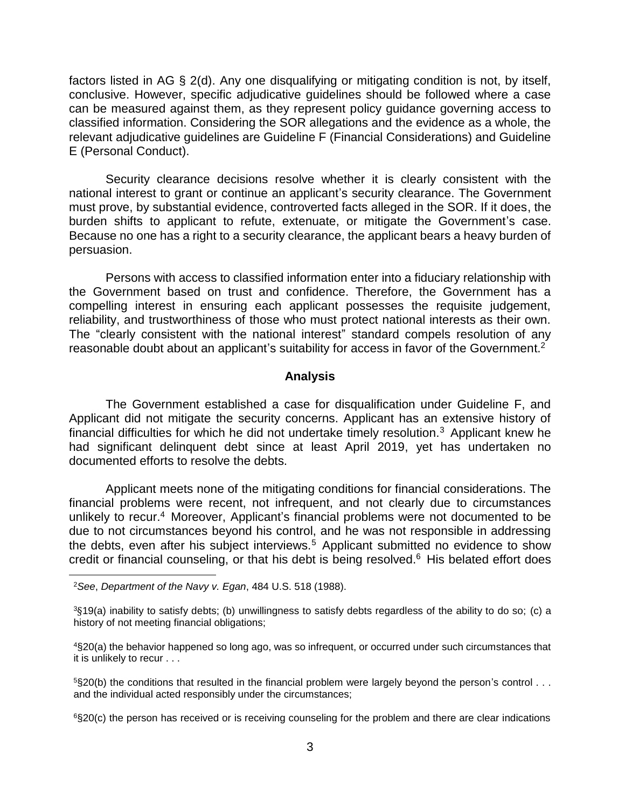factors listed in AG § 2(d). Any one disqualifying or mitigating condition is not, by itself, conclusive. However, specific adjudicative guidelines should be followed where a case can be measured against them, as they represent policy guidance governing access to classified information. Considering the SOR allegations and the evidence as a whole, the relevant adjudicative guidelines are Guideline F (Financial Considerations) and Guideline E (Personal Conduct).

Security clearance decisions resolve whether it is clearly consistent with the national interest to grant or continue an applicant's security clearance. The Government must prove, by substantial evidence, controverted facts alleged in the SOR. If it does, the burden shifts to applicant to refute, extenuate, or mitigate the Government's case. Because no one has a right to a security clearance, the applicant bears a heavy burden of persuasion.

Persons with access to classified information enter into a fiduciary relationship with the Government based on trust and confidence. Therefore, the Government has a compelling interest in ensuring each applicant possesses the requisite judgement, reliability, and trustworthiness of those who must protect national interests as their own. The "clearly consistent with the national interest" standard compels resolution of any reasonable doubt about an applicant's suitability for access in favor of the Government.<sup>2</sup>

### **Analysis**

The Government established a case for disqualification under Guideline F, and Applicant did not mitigate the security concerns. Applicant has an extensive history of financial difficulties for which he did not undertake timely resolution.<sup>3</sup> Applicant knew he had significant delinquent debt since at least April 2019, yet has undertaken no documented efforts to resolve the debts.

Applicant meets none of the mitigating conditions for financial considerations. The financial problems were recent, not infrequent, and not clearly due to circumstances unlikely to recur.<sup>4</sup> Moreover, Applicant's financial problems were not documented to be due to not circumstances beyond his control, and he was not responsible in addressing the debts, even after his subject interviews.<sup>5</sup> Applicant submitted no evidence to show credit or financial counseling, or that his debt is being resolved. $6$  His belated effort does

<sup>2</sup>*See*, *Department of the Navy v. Egan*, 484 U.S. 518 (1988).

<sup>3</sup>§19(a) inability to satisfy debts; (b) unwillingness to satisfy debts regardless of the ability to do so; (c) a history of not meeting financial obligations;

<sup>4§20(</sup>a) the behavior happened so long ago, was so infrequent, or occurred under such circumstances that it is unlikely to recur . . .

 $5$ §20(b) the conditions that resulted in the financial problem were largely beyond the person's control . . . and the individual acted responsibly under the circumstances;

<sup>6§20(</sup>c) the person has received or is receiving counseling for the problem and there are clear indications